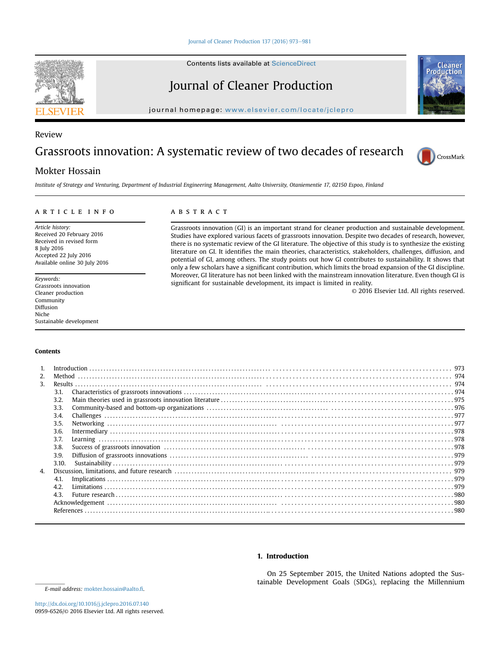Contents lists available at ScienceDirect

# Journal of Cleaner Production

journal homepage: [www.elsevier.com/locate/jclepro](http://www.elsevier.com/locate/jclepro)

# Review

# Grassroots innovation: A systematic review of two decades of research

# Mokter Hossain

Institute of Strategy and Venturing, Department of Industrial Engineering Management, Aalto University, Otaniementie 17, 02150 Espoo, Finland

### article info

Article history: Received 20 February 2016 Received in revised form 8 July 2016 Accepted 22 July 2016 Available online 30 July 2016

Keywords: Grassroots innovation Cleaner production Community Diffusion Niche Sustainable development

# **ABSTRACT**

Grassroots innovation (GI) is an important strand for cleaner production and sustainable development. Studies have explored various facets of grassroots innovation. Despite two decades of research, however, there is no systematic review of the GI literature. The objective of this study is to synthesize the existing literature on GI. It identifies the main theories, characteristics, stakeholders, challenges, diffusion, and potential of GI, among others. The study points out how GI contributes to sustainability. It shows that only a few scholars have a significant contribution, which limits the broad expansion of the GI discipline. Moreover, GI literature has not been linked with the mainstream innovation literature. Even though GI is significant for sustainable development, its impact is limited in reality.

© 2016 Elsevier Ltd. All rights reserved.

CrossMark

## Contents

| 2. |       |  |  |
|----|-------|--|--|
| 3. |       |  |  |
|    | 3.1.  |  |  |
|    | 3.2.  |  |  |
|    | 3.3.  |  |  |
|    | 3.4.  |  |  |
|    | 3.5.  |  |  |
|    | 3.6.  |  |  |
|    | 3.7.  |  |  |
|    | 3.8.  |  |  |
|    | 3.9.  |  |  |
|    | 3.10. |  |  |
| 4. |       |  |  |
|    | 4.1.  |  |  |
|    | 4.2.  |  |  |
|    | 4.3.  |  |  |
|    |       |  |  |
|    |       |  |  |
|    |       |  |  |

# 1. Introduction

On 25 September 2015, the United Nations adopted the Sustainable Development Goals (SDGs), replacing the Millennium



E-mail address: [mokter.hossain@aalto.](mailto:mokter.hossain@aalto.fi)fi.

<http://dx.doi.org/10.1016/j.jclepro.2016.07.140> 0959-6526/© 2016 Elsevier Ltd. All rights reserved.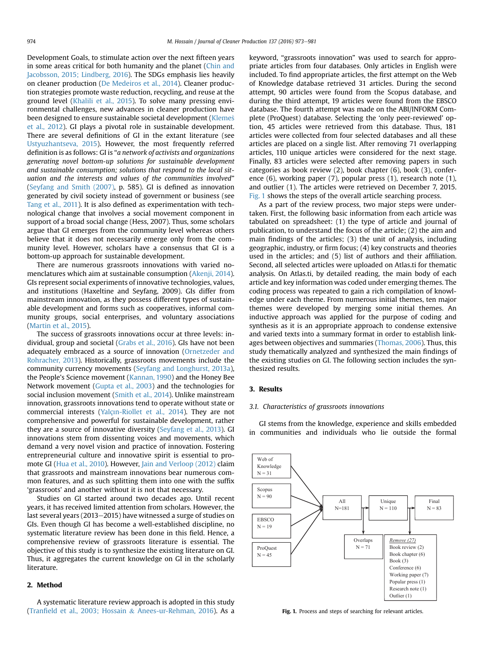Development Goals, to stimulate action over the next fifteen years in some areas critical for both humanity and the planet ([Chin and](#page-7-0) [Jacobsson, 2015; Lindberg, 2016\)](#page-7-0). The SDGs emphasis lies heavily on cleaner production ([De Medeiros et al., 2014](#page-8-0)). Cleaner production strategies promote waste reduction, recycling, and reuse at the ground level [\(Khalili et al., 2015\)](#page-8-0). To solve many pressing environmental challenges, new advances in cleaner production have been designed to ensure sustainable societal development [\(Kleme](#page-8-0)š [et al., 2012](#page-8-0)). GI plays a pivotal role in sustainable development. There are several definitions of GI in the extant literature (see [Ustyuzhantseva, 2015\)](#page-8-0). However, the most frequently referred definition is as follows: GI is "a network of activists and organizations generating novel bottom-up solutions for sustainable development and sustainable consumption; solutions that respond to the local situation and the interests and values of the communities involved" ([Seyfang and Smith \(2007\)](#page-8-0), p. 585). GI is defined as innovation generated by civil society instead of government or business (see [Tang et al., 2011](#page-8-0)). It is also defined as experimentation with technological change that involves a social movement component in support of a broad social change (Hess, 2007). Thus, some scholars argue that GI emerges from the community level whereas others believe that it does not necessarily emerge only from the community level. However, scholars have a consensus that GI is a bottom-up approach for sustainable development.

There are numerous grassroots innovations with varied nomenclatures which aim at sustainable consumption [\(Akenji, 2014\)](#page-7-0). GIs represent social experiments of innovative technologies, values, and institutions (Haxeltine and Seyfang, 2009). GIs differ from mainstream innovation, as they possess different types of sustainable development and forms such as cooperatives, informal community groups, social enterprises, and voluntary associations ([Martin et al., 2015\)](#page-8-0).

The success of grassroots innovations occur at three levels: individual, group and societal [\(Grabs et al., 2016](#page-7-0)). GIs have not been adequately embraced as a source of innovation ([Ornetzeder and](#page-8-0) [Rohracher, 2013\)](#page-8-0). Historically, grassroots movements include the community currency movements ([Seyfang and Longhurst, 2013a\)](#page-8-0), the People's Science movement ([Kannan, 1990](#page-7-0)) and the Honey Bee Network movement [\(Gupta et al., 2003](#page-7-0)) and the technologies for social inclusion movement [\(Smith et al., 2014\)](#page-8-0). Unlike mainstream innovation, grassroots innovations tend to operate without state or commercial interests [\(Yalç](#page-8-0)ı[n-Riollet et al., 2014](#page-8-0)). They are not comprehensive and powerful for sustainable development, rather they are a source of innovative diversity ([Seyfang et al., 2013\)](#page-8-0). GI innovations stem from dissenting voices and movements, which demand a very novel vision and practice of innovation. Fostering entrepreneurial culture and innovative spirit is essential to promote GI [\(Hua et al., 2010](#page-7-0)). However, [Jain and Verloop \(2012\)](#page-7-0) claim that grassroots and mainstream innovations bear numerous common features, and as such splitting them into one with the suffix 'grassroots' and another without it is not that necessary.

Studies on GI started around two decades ago. Until recent years, it has received limited attention from scholars. However, the last several years (2013–2015) have witnessed a surge of studies on GIs. Even though GI has become a well-established discipline, no systematic literature review has been done in this field. Hence, a comprehensive review of grassroots literature is essential. The objective of this study is to synthesize the existing literature on GI. Thus, it aggregates the current knowledge on GI in the scholarly literature.

# 2. Method

A systematic literature review approach is adopted in this study (Tranfi[eld et al., 2003; Hossain](#page-8-0) & [Anees-ur-Rehman, 2016\)](#page-8-0). As a keyword, "grassroots innovation" was used to search for appropriate articles from four databases. Only articles in English were included. To find appropriate articles, the first attempt on the Web of Knowledge database retrieved 31 articles. During the second attempt, 90 articles were found from the Scopus database, and during the third attempt, 19 articles were found from the EBSCO database. The fourth attempt was made on the ABI/INFORM Complete (ProQuest) database. Selecting the 'only peer-reviewed' option, 45 articles were retrieved from this database. Thus, 181 articles were collected from four selected databases and all these articles are placed on a single list. After removing 71 overlapping articles, 110 unique articles were considered for the next stage. Finally, 83 articles were selected after removing papers in such categories as book review (2), book chapter (6), book (3), conference (6), working paper (7), popular press (1), research note (1), and outlier (1). The articles were retrieved on December 7, 2015. Fig. 1 shows the steps of the overall article searching process.

As a part of the review process, two major steps were undertaken. First, the following basic information from each article was tabulated on spreadsheet: (1) the type of article and journal of publication, to understand the focus of the article; (2) the aim and main findings of the articles; (3) the unit of analysis, including geographic, industry, or firm focus; (4) key constructs and theories used in the articles; and (5) list of authors and their affiliation. Second, all selected articles were uploaded on Atlas.ti for thematic analysis. On Atlas.ti, by detailed reading, the main body of each article and key information was coded under emerging themes. The coding process was repeated to gain a rich compilation of knowledge under each theme. From numerous initial themes, ten major themes were developed by merging some initial themes. An inductive approach was applied for the purpose of coding and synthesis as it is an appropriate approach to condense extensive and varied texts into a summary format in order to establish linkages between objectives and summaries [\(Thomas, 2006](#page-8-0)). Thus, this study thematically analyzed and synthesized the main findings of the existing studies on GI. The following section includes the synthesized results.

## 3. Results

#### 3.1. Characteristics of grassroots innovations

GI stems from the knowledge, experience and skills embedded in communities and individuals who lie outside the formal



Fig. 1. Process and steps of searching for relevant articles.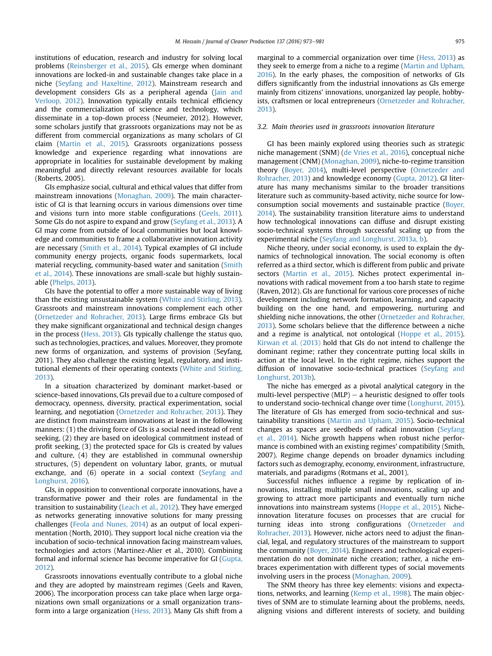institutions of education, research and industry for solving local problems ([Reinsberger et al., 2015](#page-8-0)). GIs emerge when dominant innovations are locked-in and sustainable changes take place in a niche ([Seyfang and Haxeltine, 2012\)](#page-8-0). Mainstream research and development considers GIs as a peripheral agenda ([Jain and](#page-7-0) [Verloop, 2012](#page-7-0)). Innovation typically entails technical efficiency and the commercialization of science and technology, which disseminate in a top-down process (Neumeier, 2012). However, some scholars justify that grassroots organizations may not be as different from commercial organizations as many scholars of GI claim [\(Martin et al., 2015\)](#page-8-0). Grassroots organizations possess knowledge and experience regarding what innovations are appropriate in localities for sustainable development by making meaningful and directly relevant resources available for locals (Roberts, 2005).

GIs emphasize social, cultural and ethical values that differ from mainstream innovations [\(Monaghan, 2009\)](#page-8-0). The main characteristic of GI is that learning occurs in various dimensions over time and visions turn into more stable configurations [\(Geels, 2011\)](#page-7-0). Some GIs do not aspire to expand and grow ([Seyfang et al., 2013](#page-8-0)). A GI may come from outside of local communities but local knowledge and communities to frame a collaborative innovation activity are necessary [\(Smith et al., 2014](#page-8-0)). Typical examples of GI include community energy projects, organic foods supermarkets, local material recycling, community-based water and sanitation [\(Smith](#page-8-0) [et al., 2014\)](#page-8-0). These innovations are small-scale but highly sustainable ([Phelps, 2013](#page-8-0)).

GIs have the potential to offer a more sustainable way of living than the existing unsustainable system [\(White and Stirling, 2013\)](#page-8-0). Grassroots and mainstream innovations complement each other ([Ornetzeder and Rohracher, 2013](#page-8-0)). Large firms embrace GIs but they make significant organizational and technical design changes in the process ([Hess, 2013\)](#page-7-0). GIs typically challenge the status quo, such as technologies, practices, and values. Moreover, they promote new forms of organization, and systems of provision (Seyfang, 2011). They also challenge the existing legal, regulatory, and institutional elements of their operating contexts [\(White and Stirling,](#page-8-0) [2013\)](#page-8-0).

In a situation characterized by dominant market-based or science-based innovations, GIs prevail due to a culture composed of democracy, openness, diversity, practical experimentation, social learning, and negotiation [\(Ornetzeder and Rohracher, 2013\)](#page-8-0). They are distinct from mainstream innovations at least in the following manners: (1) the driving force of GIs is a social need instead of rent seeking, (2) they are based on ideological commitment instead of profit seeking, (3) the protected space for GIs is created by values and culture, (4) they are established in communal ownership structures, (5) dependent on voluntary labor, grants, or mutual exchange, and (6) operate in a social context [\(Seyfang and](#page-8-0) [Longhurst, 2016](#page-8-0)).

GIs, in opposition to conventional corporate innovations, have a transformative power and their roles are fundamental in the transition to sustainability [\(Leach et al., 2012](#page-8-0)). They have emerged as networks generating innovative solutions for many pressing challenges [\(Feola and Nunes, 2014](#page-7-0)) as an output of local experimentation (North, 2010). They support local niche creation via the incubation of socio-technical innovation facing mainstream values, technologies and actors (Martinez-Alier et al., 2010). Combining formal and informal science has become imperative for GI ([Gupta,](#page-7-0) [2012\)](#page-7-0).

Grassroots innovations eventually contribute to a global niche and they are adopted by mainstream regimes (Geels and Raven, 2006). The incorporation process can take place when large organizations own small organizations or a small organization transform into a large organization ([Hess, 2013](#page-7-0)). Many GIs shift from a marginal to a commercial organization over time ([Hess, 2013\)](#page-7-0) as they seek to emerge from a niche to a regime ([Martin and Upham,](#page-8-0) [2016\)](#page-8-0). In the early phases, the composition of networks of GIs differs significantly from the industrial innovations as GIs emerge mainly from citizens' innovations, unorganized lay people, hobbyists, craftsmen or local entrepreneurs [\(Ornetzeder and Rohracher,](#page-8-0) [2013\)](#page-8-0).

#### 3.2. Main theories used in grassroots innovation literature

GI has been mainly explored using theories such as strategic niche management (SNM) [\(de Vries et al., 2016\)](#page-7-0), conceptual niche management (CNM) ([Monaghan, 2009\)](#page-8-0), niche-to-regime transition theory ([Boyer, 2014](#page-7-0)), multi-level perspective ([Ornetzeder and](#page-8-0) [Rohracher, 2013\)](#page-8-0) and knowledge economy ([Gupta, 2012](#page-7-0)). GI literature has many mechanisms similar to the broader transitions literature such as community-based activity, niche source for lowconsumption social movements and sustainable practice ([Boyer,](#page-7-0) [2014\)](#page-7-0). The sustainability transition literature aims to understand how technological innovations can diffuse and disrupt existing socio-technical systems through successful scaling up from the experimental niche [\(Seyfang and Longhurst, 2013a, b\)](#page-8-0).

Niche theory, under social economy, is used to explain the dynamics of technological innovation. The social economy is often referred as a third sector, which is different from public and private sectors [\(Martin et al., 2015\)](#page-8-0). Niches protect experimental innovations with radical movement from a too harsh state to regime (Raven, 2012). GIs are functional for various core processes of niche development including network formation, learning, and capacity building on the one hand, and empowering, nurturing and shielding niche innovations, the other ([Ornetzeder and Rohracher,](#page-8-0) [2013\)](#page-8-0). Some scholars believe that the difference between a niche and a regime is analytical, not ontological [\(Hoppe et al., 2015\)](#page-7-0). [Kirwan et al. \(2013\)](#page-8-0) hold that GIs do not intend to challenge the dominant regime; rather they concentrate putting local skills in action at the local level. In the right regime, niches support the diffusion of innovative socio-technical practices [\(Seyfang and](#page-8-0) [Longhurst, 2013b\)](#page-8-0).

The niche has emerged as a pivotal analytical category in the multi-level perspective  $(MLP)$  – a heuristic designed to offer tools to understand socio-technical change over time [\(Longhurst, 2015\)](#page-8-0). The literature of GIs has emerged from socio-technical and sustainability transitions ([Martin and Upham, 2015](#page-8-0)). Socio-technical changes as spaces are seedbeds of radical innovation [\(Seyfang](#page-8-0) [et al., 2014\)](#page-8-0). Niche growth happens when robust niche performance is combined with an existing regimes' compatibility (Smith, 2007). Regime change depends on broader dynamics including factors such as demography, economy, environment, infrastructure, materials, and paradigms (Rotmans et al., 2001).

Successful niches influence a regime by replication of innovations, installing multiple small innovations, scaling up and growing to attract more participants and eventually turn niche innovations into mainstream systems [\(Hoppe et al., 2015\)](#page-7-0). Nicheinnovation literature focuses on processes that are crucial for turning ideas into strong configurations ([Ornetzeder and](#page-8-0) [Rohracher, 2013\)](#page-8-0). However, niche actors need to adjust the financial, legal, and regulatory structures of the mainstream to support the community [\(Boyer, 2014](#page-7-0)). Engineers and technological experimentation do not dominate niche creation; rather, a niche embraces experimentation with different types of social movements involving users in the process ([Monaghan, 2009\)](#page-8-0).

The SNM theory has three key elements: visions and expectations, networks, and learning [\(Kemp et al., 1998](#page-7-0)). The main objectives of SNM are to stimulate learning about the problems, needs, aligning visions and different interests of society, and building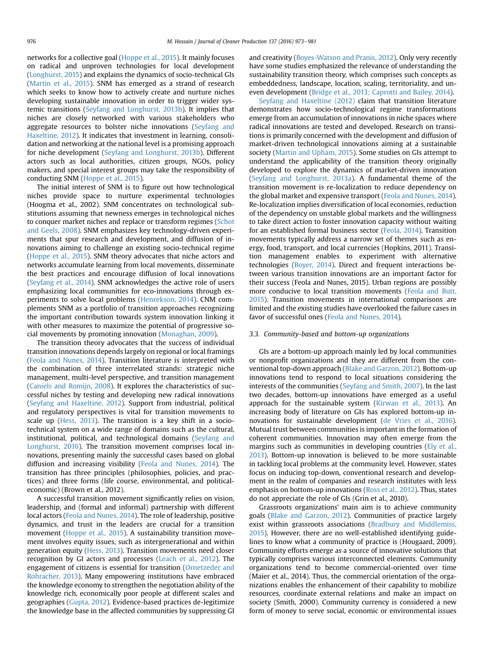networks for a collective goal [\(Hoppe et al., 2015\)](#page-7-0). It mainly focuses on radical and unproven technologies for local development ([Longhurst, 2015](#page-8-0)) and explains the dynamics of socio-technical GIs ([Martin et al., 2015\)](#page-8-0). SNM has emerged as a strand of research which seeks to know how to actively create and nurture niches developing sustainable innovation in order to trigger wider systemic transitions ([Seyfang and Longhurst, 2013b](#page-8-0)). It implies that niches are closely networked with various stakeholders who aggregate resources to bolster niche innovations ([Seyfang and](#page-8-0) [Haxeltine, 2012](#page-8-0)). It indicates that investment in learning, consolidation and networking at the national level is a promising approach for niche development [\(Seyfang and Longhurst, 2013b](#page-8-0)). Different actors such as local authorities, citizen groups, NGOs, policy makers, and special interest groups may take the responsibility of conducting SNM ([Hoppe et al., 2015](#page-7-0)).

The initial interest of SNM is to figure out how technological niches provide space to nurture experimental technologies (Hoogma et al., 2002). SNM concentrates on technological substitutions assuming that newness emerges in technological niches to conquer market niches and replace or transform regimes [\(Schot](#page-8-0) [and Geels, 2008\)](#page-8-0). SNM emphasizes key technology-driven experiments that spur research and development, and diffusion of innovations aiming to challenge an existing socio-technical regime ([Hoppe et al., 2015\)](#page-7-0). SNM theory advocates that niche actors and networks accumulate learning from local movements, disseminate the best practices and encourage diffusion of local innovations ([Seyfang et al., 2014](#page-8-0)). SNM acknowledges the active role of users emphasizing local communities for eco-innovations through experiments to solve local problems [\(Henrekson, 2014](#page-7-0)). CNM complements SNM as a portfolio of transition approaches recognizing the important contribution towards system innovation linking it with other measures to maximize the potential of progressive social movements by promoting innovation [\(Monaghan, 2009](#page-8-0)).

The transition theory advocates that the success of individual transition innovations depends largely on regional or local framings ([Feola and Nunes, 2014](#page-7-0)). Transition literature is interpreted with the combination of three interrelated strands: strategic niche management, multi-level perspective, and transition management ([Caniels and Romijn, 2008\)](#page-7-0). It explores the characteristics of successful niches by testing and developing new radical innovations ([Seyfang and Haxeltine, 2012](#page-8-0)). Support from industrial, political and regulatory perspectives is vital for transition movements to scale up ([Hess, 2013\)](#page-7-0). The transition is a key shift in a sociotechnical system on a wide range of domains such as the cultural, institutional, political, and technological domains ([Seyfang and](#page-8-0) [Longhurst, 2016](#page-8-0)). The transition movement comprises local innovations, presenting mainly the successful cases based on global diffusion and increasing visibility ([Feola and Nunes, 2014\)](#page-7-0). The transition has three principles (philosophies, policies, and practices) and three forms (life course, environmental, and politicaleconomic) (Brown et al., 2012).

A successful transition movement significantly relies on vision, leadership, and (formal and informal) partnership with different local actors ([Feola and Nunes, 2014\)](#page-7-0). The role of leadership, positive dynamics, and trust in the leaders are crucial for a transition movement ([Hoppe et al., 2015\)](#page-7-0). A sustainability transition movement involves equity issues, such as intergenerational and within generation equity [\(Hess, 2013\)](#page-7-0). Transition movements need closer recognition by GI actors and processes [\(Leach et al., 2012](#page-8-0)). The engagement of citizens is essential for transition ([Ornetzeder and](#page-8-0) [Rohracher, 2013\)](#page-8-0). Many empowering institutions have embraced the knowledge economy to strengthen the negotiation ability of the knowledge rich, economically poor people at different scales and geographies ([Gupta, 2012](#page-7-0)). Evidence-based practices de-legitimize the knowledge base in the affected communities by suppressing GI and creativity ([Boyes-Watson and Pranis, 2012\)](#page-7-0). Only very recently have some studies emphasized the relevance of understanding the sustainability transition theory, which comprises such concepts as embeddedness, landscape, location, scaling, territoriality, and uneven development ([Bridge et al., 2013; Caprotti and Bailey, 2014](#page-7-0)).

[Seyfang and Haxeltine \(2012\)](#page-8-0) claim that transition literature demonstrates how socio-technological regime transformations emerge from an accumulation of innovations in niche spaces where radical innovations are tested and developed. Research on transitions is primarily concerned with the development and diffusion of market-driven technological innovations aiming at a sustainable society [\(Martin and Upham, 2015\)](#page-8-0). Some studies on GIs attempt to understand the applicability of the transition theory originally developed to explore the dynamics of market-driven innovation ([Seyfang and Longhurst, 2013a\)](#page-8-0). A fundamental theme of the transition movement is re-localization to reduce dependency on the global market and expensive transport ([Feola and Nunes, 2014\)](#page-7-0). Re-localization implies diversification of local economies, reduction of the dependency on unstable global markets and the willingness to take direct action to foster innovation capacity without waiting for an established formal business sector [\(Feola, 2014](#page-7-0)). Transition movements typically address a narrow set of themes such as energy, food, transport, and local currencies (Hopkins, 2011). Transition management enables to experiment with alternative technologies ([Boyer, 2014\)](#page-7-0). Direct and frequent interactions between various transition innovations are an important factor for their success (Feola and Nunes, 2015). Urban regions are possibly more conducive to local transition movements [\(Feola and Butt,](#page-7-0) [2015\)](#page-7-0). Transition movements in international comparisons are limited and the existing studies have overlooked the failure cases in favor of successful ones ([Feola and Nunes, 2014\)](#page-7-0).

#### 3.3. Community-based and bottom-up organizations

GIs are a bottom-up approach mainly led by local communities or nonprofit organizations and they are different from the conventional top-down approach [\(Blake and Garzon, 2012](#page-7-0)). Bottom-up innovations tend to respond to local situations considering the interests of the communities [\(Seyfang and Smith, 2007](#page-8-0)). In the last two decades, bottom-up innovations have emerged as a useful approach for the sustainable system [\(Kirwan et al., 2013\)](#page-8-0). An increasing body of literature on GIs has explored bottom-up innovations for sustainable development [\(de Vries et al., 2016\)](#page-7-0). Mutual trust between communities is important in the formation of coherent communities. Innovation may often emerge from the margins such as communities in developing countries [\(Ely et al.,](#page-7-0) [2013\)](#page-7-0). Bottom-up innovation is believed to be more sustainable in tackling local problems at the community level. However, states focus on inducing top-down, conventional research and development in the realm of companies and research institutes with less emphasis on bottom-up innovations [\(Ross et al., 2012](#page-8-0)). Thus, states do not appreciate the role of GIs (Grin et al., 2010).

Grassroots organizations' main aim is to achieve community goals ([Blake and Garzon, 2012](#page-7-0)). Communities of practice largely exist within grassroots associations [\(Bradbury and Middlemiss,](#page-7-0) [2015\)](#page-7-0). However, there are no well-established identifying guidelines to know what a community of practice is (Hougaard, 2009). Community efforts emerge as a source of innovative solutions that typically comprises various interconnected elements. Community organizations tend to become commercial-oriented over time (Maier et al., 2014). Thus, the commercial orientation of the organizations enables the enhancement of their capability to mobilize resources, coordinate external relations and make an impact on society (Smith, 2000). Community currency is considered a new form of money to serve social, economic or environmental issues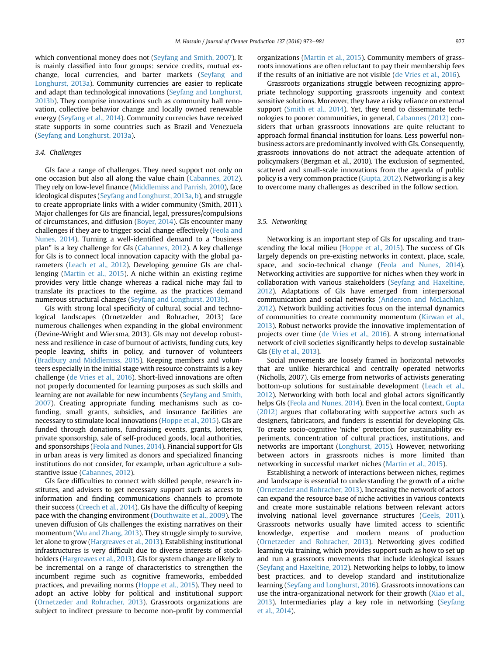which conventional money does not [\(Seyfang and Smith, 2007\)](#page-8-0). It is mainly classified into four groups: service credits, mutual exchange, local currencies, and barter markets ([Seyfang and](#page-8-0) [Longhurst, 2013a\)](#page-8-0). Community currencies are easier to replicate and adapt than technological innovations [\(Seyfang and Longhurst,](#page-8-0) [2013b](#page-8-0)). They comprise innovations such as community hall renovation, collective behavior change and locally owned renewable energy ([Seyfang et al., 2014](#page-8-0)). Community currencies have received state supports in some countries such as Brazil and Venezuela ([Seyfang and Longhurst, 2013a\)](#page-8-0).

## 3.4. Challenges

GIs face a range of challenges. They need support not only on one occasion but also all along the value chain [\(Cabannes, 2012\)](#page-7-0). They rely on low-level finance ([Middlemiss and Parrish, 2010\)](#page-8-0), face ideological disputes [\(Seyfang and Longhurst, 2013a, b\)](#page-8-0), and struggle to create appropriate links with a wider community (Smith, 2011). Major challenges for GIs are financial, legal, pressures/compulsions of circumstances, and diffusion [\(Boyer, 2014\)](#page-7-0). GIs encounter many challenges if they are to trigger social change effectively ([Feola and](#page-7-0) [Nunes, 2014\)](#page-7-0). Turning a well-identified demand to a "business plan" is a key challenge for GIs ([Cabannes, 2012\)](#page-7-0). A key challenge for GIs is to connect local innovation capacity with the global parameters [\(Leach et al., 2012\)](#page-8-0). Developing genuine GIs are challenging [\(Martin et al., 2015](#page-8-0)). A niche within an existing regime provides very little change whereas a radical niche may fail to translate its practices to the regime, as the practices demand numerous structural changes [\(Seyfang and Longhurst, 2013b](#page-8-0)).

GIs with strong local specificity of cultural, social and technological landscapes (Ornetzelder and Rohracher, 2013) face numerous challenges when expanding in the global environment (Devine-Wright and Wiersma, 2013). GIs may not develop robustness and resilience in case of burnout of activists, funding cuts, key people leaving, shifts in policy, and turnover of volunteers ([Bradbury and Middlemiss, 2015](#page-7-0)). Keeping members and volunteers especially in the initial stage with resource constraints is a key challenge [\(de Vries et al., 2016\)](#page-7-0). Short-lived innovations are often not properly documented for learning purposes as such skills and learning are not available for new incumbents [\(Seyfang and Smith,](#page-8-0) [2007\)](#page-8-0). Creating appropriate funding mechanisms such as cofunding, small grants, subsidies, and insurance facilities are necessary to stimulate local innovations ([Hoppe et al., 2015\)](#page-7-0). GIs are funded through donations, fundraising events, grants, lotteries, private sponsorship, sale of self-produced goods, local authorities, and sponsorships ([Feola and Nunes, 2014\)](#page-7-0). Financial support for GIs in urban areas is very limited as donors and specialized financing institutions do not consider, for example, urban agriculture a substantive issue [\(Cabannes, 2012](#page-7-0)).

GIs face difficulties to connect with skilled people, research institutes, and advisers to get necessary support such as access to information and finding communications channels to promote their success ([Creech et al., 2014](#page-7-0)). GIs have the difficulty of keeping pace with the changing environment ([Douthwaite et al., 2009\)](#page-7-0). The uneven diffusion of GIs challenges the existing narratives on their momentum [\(Wu and Zhang, 2013](#page-8-0)). They struggle simply to survive, let alone to grow ([Hargreaves et al., 2013](#page-7-0)). Establishing institutional infrastructures is very difficult due to diverse interests of stockholders ([Hargreaves et al., 2013\)](#page-7-0). GIs for system change are likely to be incremental on a range of characteristics to strengthen the incumbent regime such as cognitive frameworks, embedded practices, and prevailing norms ([Hoppe et al., 2015](#page-7-0)). They need to adopt an active lobby for political and institutional support ([Ornetzeder and Rohracher, 2013](#page-8-0)). Grassroots organizations are subject to indirect pressure to become non-profit by commercial organizations [\(Martin et al., 2015](#page-8-0)). Community members of grassroots innovations are often reluctant to pay their membership fees if the results of an initiative are not visible [\(de Vries et al., 2016\)](#page-7-0).

Grassroots organizations struggle between recognizing appropriate technology supporting grassroots ingenuity and context sensitive solutions. Moreover, they have a risky reliance on external support [\(Smith et al., 2014](#page-8-0)). Yet, they tend to disseminate technologies to poorer communities, in general. [Cabannes \(2012\)](#page-7-0) considers that urban grassroots innovations are quite reluctant to approach formal financial institution for loans. Less powerful nonbusiness actors are predominantly involved with GIs. Consequently, grassroots innovations do not attract the adequate attention of policymakers (Bergman et al., 2010). The exclusion of segmented, scattered and small-scale innovations from the agenda of public policy is a very common practice ([Gupta, 2012](#page-7-0)). Networking is a key to overcome many challenges as described in the follow section.

## 3.5. Networking

Networking is an important step of GIs for upscaling and transcending the local milieu [\(Hoppe et al., 2015](#page-7-0)). The success of GIs largely depends on pre-existing networks in context, place, scale, space, and socio-technical change ([Feola and Nunes, 2014\)](#page-7-0). Networking activities are supportive for niches when they work in collaboration with various stakeholders ([Seyfang and Haxeltine,](#page-8-0) [2012\)](#page-8-0). Adaptations of GIs have emerged from interpersonal communication and social networks [\(Anderson and McLachlan,](#page-7-0) [2012\)](#page-7-0). Network building activities focus on the internal dynamics of communities to create community momentum ([Kirwan et al.,](#page-8-0) [2013\)](#page-8-0). Robust networks provide the innovative implementation of projects over time ([de Vries et al., 2016](#page-7-0)). A strong international network of civil societies significantly helps to develop sustainable GIs ([Ely et al., 2013\)](#page-7-0).

Social movements are loosely framed in horizontal networks that are unlike hierarchical and centrally operated networks (Nicholls, 2007). GIs emerge from networks of activists generating bottom-up solutions for sustainable development ([Leach et al.,](#page-8-0) [2012\)](#page-8-0). Networking with both local and global actors significantly helps GIs [\(Feola and Nunes, 2014\)](#page-7-0). Even in the local context, [Gupta](#page-7-0) [\(2012\)](#page-7-0) argues that collaborating with supportive actors such as designers, fabricators, and funders is essential for developing GIs. To create socio-cognitive 'niche' protection for sustainability experiments, concentration of cultural practices, institutions, and networks are important [\(Longhurst, 2015\)](#page-8-0). However, networking between actors in grassroots niches is more limited than networking in successful market niches [\(Martin et al., 2015](#page-8-0)).

Establishing a network of interactions between niches, regimes and landscape is essential to understanding the growth of a niche ([Ornetzeder and Rohracher, 2013](#page-8-0)). Increasing the network of actors can expand the resource base of niche activities in various contexts and create more sustainable relations between relevant actors involving national level governance structures [\(Geels, 2011\)](#page-7-0). Grassroots networks usually have limited access to scientific knowledge, expertise and modern means of production ([Ornetzeder and Rohracher, 2013\)](#page-8-0). Networking gives codified learning via training, which provides support such as how to set up and run a grassroots movements that include ideological issues ([Seyfang and Haxeltine, 2012](#page-8-0)). Networking helps to lobby, to know best practices, and to develop standard and institutionalize learning ([Seyfang and Longhurst, 2016](#page-8-0)). Grassroots innovations can use the intra-organizational network for their growth [\(Xiao et al.,](#page-8-0) [2013\)](#page-8-0). Intermediaries play a key role in networking [\(Seyfang](#page-8-0) [et al., 2014](#page-8-0)).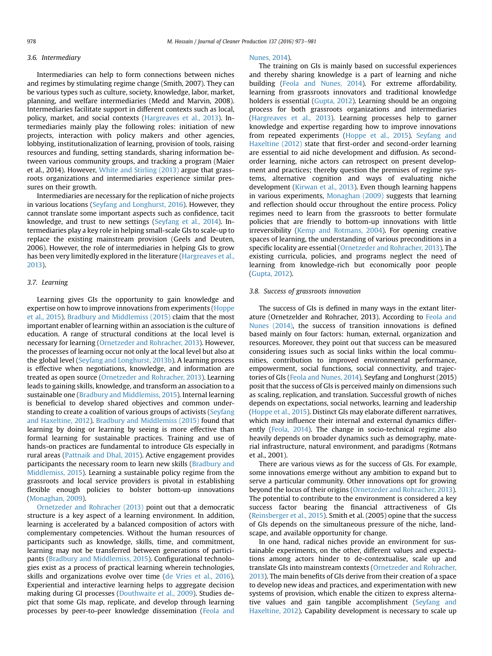#### 3.6. Intermediary

Intermediaries can help to form connections between niches and regimes by stimulating regime change (Smith, 2007). They can be various types such as culture, society, knowledge, labor, market, planning, and welfare intermediaries (Medd and Marvin, 2008). Intermediaries facilitate support in different contexts such as local, policy, market, and social contexts ([Hargreaves et al., 2013](#page-7-0)). Intermediaries mainly play the following roles: initiation of new projects, interaction with policy makers and other agencies, lobbying, institutionalization of learning, provision of tools, raising resources and funding, setting standards, sharing information between various community groups, and tracking a program (Maier et al., 2014). However, [White and Stirling \(2013\)](#page-8-0) argue that grassroots organizations and intermediaries experience similar pressures on their growth.

Intermediaries are necessary for the replication of niche projects in various locations [\(Seyfang and Longhurst, 2016\)](#page-8-0). However, they cannot translate some important aspects such as confidence, tacit knowledge, and trust to new settings ([Seyfang et al., 2014](#page-8-0)). Intermediaries play a key role in helping small-scale GIs to scale-up to replace the existing mainstream provision (Geels and Deuten, 2006). However, the role of intermediaries in helping GIs to grow has been very limitedly explored in the literature [\(Hargreaves et al.,](#page-7-0) [2013](#page-7-0)).

#### 3.7. Learning

Learning gives GIs the opportunity to gain knowledge and expertise on how to improve innovations from experiments ([Hoppe](#page-7-0) [et al., 2015](#page-7-0)). [Bradbury and Middlemiss \(2015\)](#page-7-0) claim that the most important enabler of learning within an association is the culture of education. A range of structural conditions at the local level is necessary for learning ([Ornetzeder and Rohracher, 2013](#page-8-0)). However, the processes of learning occur not only at the local level but also at the global level [\(Seyfang and Longhurst, 2013b\)](#page-8-0). A learning process is effective when negotiations, knowledge, and information are treated as open source ([Ornetzeder and Rohracher, 2013](#page-8-0)). Learning leads to gaining skills, knowledge, and transform an association to a sustainable one ([Bradbury and Middlemiss, 2015](#page-7-0)). Internal learning is beneficial to develop shared objectives and common understanding to create a coalition of various groups of activists [\(Seyfang](#page-8-0) [and Haxeltine, 2012\)](#page-8-0). [Bradbury and Middlemiss \(2015\)](#page-7-0) found that learning by doing or learning by seeing is more effective than formal learning for sustainable practices. Training and use of hands-on practices are fundamental to introduce GIs especially in rural areas ([Pattnaik and Dhal, 2015](#page-8-0)). Active engagement provides participants the necessary room to learn new skills ([Bradbury and](#page-7-0) [Middlemiss, 2015\)](#page-7-0). Learning a sustainable policy regime from the grassroots and local service providers is pivotal in establishing flexible enough policies to bolster bottom-up innovations ([Monaghan, 2009\)](#page-8-0).

[Ornetzeder and Rohracher \(2013\)](#page-8-0) point out that a democratic structure is a key aspect of a learning environment. In addition, learning is accelerated by a balanced composition of actors with complementary competencies. Without the human resources of participants such as knowledge, skills, time, and commitment, learning may not be transferred between generations of participants [\(Bradbury and Middlemiss, 2015](#page-7-0)). Configurational technologies exist as a process of practical learning wherein technologies, skills and organizations evolve over time [\(de Vries et al., 2016\)](#page-7-0). Experiential and interactive learning helps to aggregate decision making during GI processes [\(Douthwaite et al., 2009\)](#page-7-0). Studies depict that some GIs map, replicate, and develop through learning processes by peer-to-peer knowledge dissemination ([Feola and](#page-7-0)

#### [Nunes, 2014](#page-7-0)).

The training on GIs is mainly based on successful experiences and thereby sharing knowledge is a part of learning and niche building [\(Feola and Nunes, 2014\)](#page-7-0). For extreme affordability, learning from grassroots innovators and traditional knowledge holders is essential ([Gupta, 2012\)](#page-7-0). Learning should be an ongoing process for both grassroots organizations and intermediaries ([Hargreaves et al., 2013\)](#page-7-0). Learning processes help to garner knowledge and expertise regarding how to improve innovations from repeated experiments ([Hoppe et al., 2015](#page-7-0)). [Seyfang and](#page-8-0) [Haxeltine \(2012\)](#page-8-0) state that first-order and second-order learning are essential to aid niche development and diffusion. As secondorder learning, niche actors can retrospect on present development and practices; thereby question the premises of regime systems, alternative cognition and ways of evaluating niche development [\(Kirwan et al., 2013\)](#page-8-0). Even though learning happens in various experiments, [Monaghan \(2009\)](#page-8-0) suggests that learning and reflection should occur throughout the entire process. Policy regimes need to learn from the grassroots to better formulate policies that are friendly to bottom-up innovations with little irreversibility ([Kemp and Rotmans, 2004\)](#page-7-0). For opening creative spaces of learning, the understanding of various preconditions in a specific locality are essential [\(Ornetzeder and Rohracher, 2013](#page-8-0)). The existing curricula, policies, and programs neglect the need of learning from knowledge-rich but economically poor people ([Gupta, 2012](#page-7-0)).

## 3.8. Success of grassroots innovation

The success of GIs is defined in many ways in the extant literature (Ornetzelder and Rohracher, 2013). According to [Feola and](#page-7-0) [Nunes \(2014\),](#page-7-0) the success of transition innovations is defined based mainly on four factors: human, external, organization and resources. Moreover, they point out that success can be measured considering issues such as social links within the local communities, contribution to improved environmental performance, empowerment, social functions, social connectivity, and trajectories of GIs [\(Feola and Nunes, 2014](#page-7-0)). Seyfang and Longhurst (2015) posit that the success of GIs is perceived mainly on dimensions such as scaling, replication, and translation. Successful growth of niches depends on expectations, social networks, learning and leadership ([Hoppe et al., 2015\)](#page-7-0). Distinct GIs may elaborate different narratives, which may influence their internal and external dynamics differently ([Feola, 2014](#page-7-0)). The change in socio-technical regime also heavily depends on broader dynamics such as demography, material infrastructure, natural environment, and paradigms (Rotmans et al., 2001).

There are various views as for the success of GIs. For example, some innovations emerge without any ambition to expand but to serve a particular community. Other innovations opt for growing beyond the locus of their origins [\(Ornetzeder and Rohracher, 2013\)](#page-8-0). The potential to contribute to the environment is considered a key success factor bearing the financial attractiveness of GIs ([Reinsberger et al., 2015\)](#page-8-0). Smith et al. (2005) opine that the success of GIs depends on the simultaneous pressure of the niche, landscape, and available opportunity for change.

In one hand, radical niches provide an environment for sustainable experiments, on the other, different values and expectations among actors hinder to de-contextualise, scale up and translate GIs into mainstream contexts [\(Ornetzeder and Rohracher,](#page-8-0) [2013\)](#page-8-0). The main benefits of GIs derive from their creation of a space to develop new ideas and practices, and experimentation with new systems of provision, which enable the citizen to express alternative values and gain tangible accomplishment [\(Seyfang and](#page-8-0) [Haxeltine, 2012](#page-8-0)). Capability development is necessary to scale up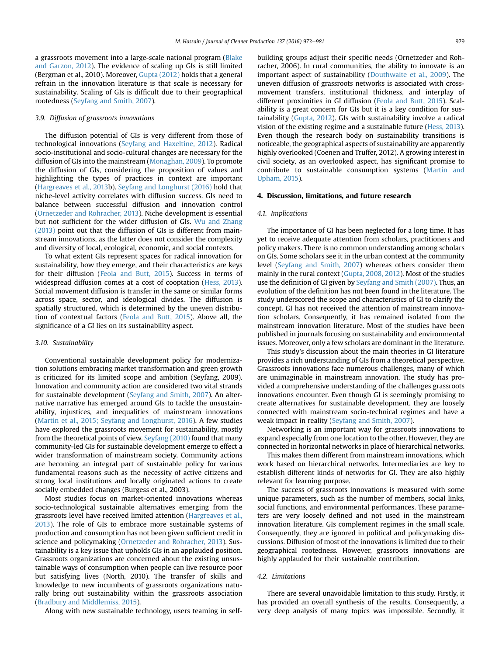a grassroots movement into a large-scale national program [\(Blake](#page-7-0) [and Garzon, 2012](#page-7-0)). The evidence of scaling up GIs is still limited (Bergman et al., 2010). Moreover, [Gupta \(2012\)](#page-7-0) holds that a general refrain in the innovation literature is that scale is necessary for sustainability. Scaling of GIs is difficult due to their geographical rootedness [\(Seyfang and Smith, 2007\)](#page-8-0).

#### 3.9. Diffusion of grassroots innovations

The diffusion potential of GIs is very different from those of technological innovations [\(Seyfang and Haxeltine, 2012\)](#page-8-0). Radical socio-institutional and socio-cultural changes are necessary for the diffusion of GIs into the mainstream [\(Monaghan, 2009](#page-8-0)). To promote the diffusion of GIs, considering the proposition of values and highlighting the types of practices in context are important ([Hargreaves et al., 2013](#page-7-0)b). [Seyfang and Longhurst \(2016\)](#page-8-0) hold that niche-level activity correlates with diffusion success. GIs need to balance between successful diffusion and innovation control ([Ornetzeder and Rohracher, 2013](#page-8-0)). Niche development is essential but not sufficient for the wider diffusion of GIs. [Wu and Zhang](#page-8-0) [\(2013\)](#page-8-0) point out that the diffusion of GIs is different from mainstream innovations, as the latter does not consider the complexity and diversity of local, ecological, economic, and social contexts.

To what extent GIs represent spaces for radical innovation for sustainability, how they emerge, and their characteristics are keys for their diffusion [\(Feola and Butt, 2015](#page-7-0)). Success in terms of widespread diffusion comes at a cost of cooptation ([Hess, 2013\)](#page-7-0). Social movement diffusion is transfer in the same or similar forms across space, sector, and ideological divides. The diffusion is spatially structured, which is determined by the uneven distribution of contextual factors ([Feola and Butt, 2015](#page-7-0)). Above all, the significance of a GI lies on its sustainability aspect.

#### 3.10. Sustainability

Conventional sustainable development policy for modernization solutions embracing market transformation and green growth is criticized for its limited scope and ambition (Seyfang, 2009). Innovation and community action are considered two vital strands for sustainable development [\(Seyfang and Smith, 2007](#page-8-0)). An alternative narrative has emerged around GIs to tackle the unsustainability, injustices, and inequalities of mainstream innovations ([Martin et al., 2015; Seyfang and Longhurst, 2016](#page-8-0)). A few studies have explored the grassroots movement for sustainability, mostly from the theoretical points of view. [Seyfang \(2010\)](#page-8-0) found that many community-led GIs for sustainable development emerge to effect a wider transformation of mainstream society. Community actions are becoming an integral part of sustainable policy for various fundamental reasons such as the necessity of active citizens and strong local institutions and locally originated actions to create socially embedded changes (Burgess et al., 2003).

Most studies focus on market-oriented innovations whereas socio-technological sustainable alternatives emerging from the grassroots level have received limited attention [\(Hargreaves et al.,](#page-7-0) [2013\)](#page-7-0). The role of GIs to embrace more sustainable systems of production and consumption has not been given sufficient credit in science and policymaking [\(Ornetzeder and Rohracher, 2013\)](#page-8-0). Sustainability is a key issue that upholds GIs in an applauded position. Grassroots organizations are concerned about the existing unsustainable ways of consumption when people can live resource poor but satisfying lives (North, 2010). The transfer of skills and knowledge to new incumbents of grassroots organizations naturally bring out sustainability within the grassroots association ([Bradbury and Middlemiss, 2015\)](#page-7-0).

Along with new sustainable technology, users teaming in self-

building groups adjust their specific needs (Ornetzeder and Rohracher, 2006). In rural communities, the ability to innovate is an important aspect of sustainability [\(Douthwaite et al., 2009](#page-7-0)). The uneven diffusion of grassroots networks is associated with crossmovement transfers, institutional thickness, and interplay of different proximities in GI diffusion [\(Feola and Butt, 2015](#page-7-0)). Scalability is a great concern for GIs but it is a key condition for sustainability ([Gupta, 2012](#page-7-0)). GIs with sustainability involve a radical vision of the existing regime and a sustainable future ([Hess, 2013\)](#page-7-0). Even though the research body on sustainability transitions is noticeable, the geographical aspects of sustainability are apparently highly overlooked (Coenen and Truffer, 2012). A growing interest in civil society, as an overlooked aspect, has significant promise to contribute to sustainable consumption systems [\(Martin and](#page-8-0) [Upham, 2015\)](#page-8-0).

#### 4. Discussion, limitations, and future research

#### 4.1. Implications

The importance of GI has been neglected for a long time. It has yet to receive adequate attention from scholars, practitioners and policy makers. There is no common understanding among scholars on GIs. Some scholars see it in the urban context at the community level [\(Seyfang and Smith, 2007\)](#page-8-0) whereas others consider them mainly in the rural context [\(Gupta, 2008, 2012](#page-7-0)). Most of the studies use the definition of GI given by [Seyfang and Smith \(2007\).](#page-8-0) Thus, an evolution of the definition has not been found in the literature. The study underscored the scope and characteristics of GI to clarify the concept. GI has not received the attention of mainstream innovation scholars. Consequently, it has remained isolated from the mainstream innovation literature. Most of the studies have been published in journals focusing on sustainability and environmental issues. Moreover, only a few scholars are dominant in the literature.

This study's discussion about the main theories in GI literature provides a rich understanding of GIs from a theoretical perspective. Grassroots innovations face numerous challenges, many of which are unimaginable in mainstream innovation. The study has provided a comprehensive understanding of the challenges grassroots innovations encounter. Even though GI is seemingly promising to create alternatives for sustainable development, they are loosely connected with mainstream socio-technical regimes and have a weak impact in reality [\(Seyfang and Smith, 2007\)](#page-8-0).

Networking is an important way for grassroots innovations to expand especially from one location to the other. However, they are connected in horizontal networks in place of hierarchical networks.

This makes them different from mainstream innovations, which work based on hierarchical networks. Intermediaries are key to establish different kinds of networks for GI. They are also highly relevant for learning purpose.

The success of grassroots innovations is measured with some unique parameters, such as the number of members, social links, social functions, and environmental performances. These parameters are very loosely defined and not used in the mainstream innovation literature. GIs complement regimes in the small scale. Consequently, they are ignored in political and policymaking discussions. Diffusion of most of the innovations is limited due to their geographical rootedness. However, grassroots innovations are highly applauded for their sustainable contribution.

#### 4.2. Limitations

There are several unavoidable limitation to this study. Firstly, it has provided an overall synthesis of the results. Consequently, a very deep analysis of many topics was impossible. Secondly, it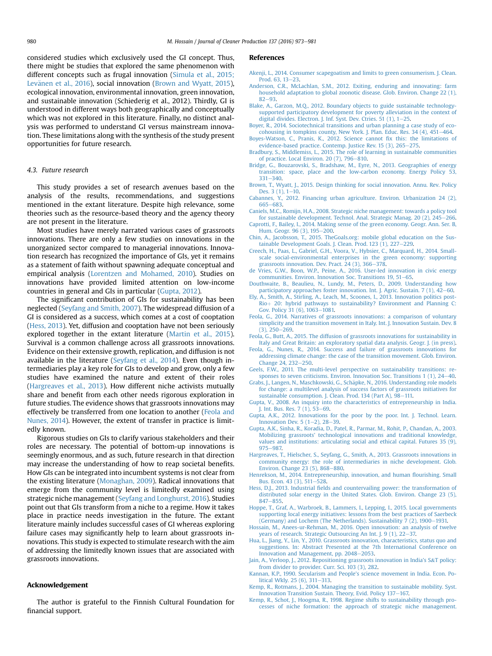<span id="page-7-0"></span>considered studies which exclusively used the GI concept. Thus, there might be studies that explored the same phenomenon with different concepts such as frugal innovation [\(Simula et al., 2015;](#page-8-0) Levänen et al., 2016), social innovation (Brown and Wyatt, 2015), ecological innovation, environmental innovation, green innovation, and sustainable innovation (Schiederig et al., 2012). Thirdly, GI is understood in different ways both geographically and conceptually which was not explored in this literature. Finally, no distinct analysis was performed to understand GI versus mainstream innovation. These limitations along with the synthesis of the study present opportunities for future research.

#### 4.3. Future research

This study provides a set of research avenues based on the analysis of the results, recommendations, and suggestions mentioned in the extant literature. Despite high relevance, some theories such as the resource-based theory and the agency theory are not present in the literature.

Most studies have merely narrated various cases of grassroots innovations. There are only a few studies on innovations in the unorganized sector compared to managerial innovations. Innovation research has recognized the importance of GIs, yet it remains as a statement of faith without spawning adequate conceptual and empirical analysis ([Lorentzen and Mohamed, 2010](#page-8-0)). Studies on innovations have provided limited attention on low-income countries in general and GIs in particular (Gupta, 2012).

The significant contribution of GIs for sustainability has been neglected [\(Seyfang and Smith, 2007\)](#page-8-0). The widespread diffusion of a GI is considered as a success, which comes at a cost of cooptation (Hess, 2013). Yet, diffusion and cooptation have not been seriously explored together in the extant literature ([Martin et al., 2015\)](#page-8-0). Survival is a common challenge across all grassroots innovations. Evidence on their extensive growth, replication, and diffusion is not available in the literature [\(Seyfang et al., 2014\)](#page-8-0). Even though intermediaries play a key role for GIs to develop and grow, only a few studies have examined the nature and extent of their roles (Hargreaves et al., 2013). How different niche activists mutually share and benefit from each other needs rigorous exploration in future studies. The evidence shows that grassroots innovations may effectively be transferred from one location to another (Feola and Nunes, 2014). However, the extent of transfer in practice is limitedly known.

Rigorous studies on GIs to clarify various stakeholders and their roles are necessary. The potential of bottom-up innovations is seemingly enormous, and as such, future research in that direction may increase the understanding of how to reap societal benefits. How GIs can be integrated into incumbent systems is not clear from the existing literature ([Monaghan, 2009\)](#page-8-0). Radical innovations that emerge from the community level is limitedly examined using strategic niche management [\(Seyfang and Longhurst, 2016\)](#page-8-0). Studies point out that GIs transform from a niche to a regime. How it takes place in practice needs investigation in the future. The extant literature mainly includes successful cases of GI whereas exploring failure cases may significantly help to learn about grassroots innovations. This study is expected to stimulate research with the aim of addressing the limitedly known issues that are associated with grassroots innovations.

### Acknowledgement

The author is grateful to the Finnish Cultural Foundation for financial support.

#### References

- [Akenji, L., 2014. Consumer scapegoatism and limits to green consumerism. J. Clean.](http://refhub.elsevier.com/S0959-6526(16)31036-8/sref1) [Prod. 63, 13](http://refhub.elsevier.com/S0959-6526(16)31036-8/sref1)-[23](http://refhub.elsevier.com/S0959-6526(16)31036-8/sref1).
- [Anderson, C.R., McLachlan, S.M., 2012. Exiting, enduring and innovating: farm](http://refhub.elsevier.com/S0959-6526(16)31036-8/sref2) [household adaptation to global zoonotic disease. Glob. Environ. Change 22 \(1\),](http://refhub.elsevier.com/S0959-6526(16)31036-8/sref2)  $82 - 93$  $82 - 93$
- [Blake, A., Garzon, M.Q., 2012. Boundary objects to guide sustainable technology](http://refhub.elsevier.com/S0959-6526(16)31036-8/sref6)[supported participatory development for poverty alleviation in the context of](http://refhub.elsevier.com/S0959-6526(16)31036-8/sref6) digital divides. Electron. I. Inf. Syst. Dev. Ctries.  $51$  (1),  $1-25$  $1-25$ .
- [Boyer, R., 2014. Sociotechnical transitions and urban planning a case study of eco](http://refhub.elsevier.com/S0959-6526(16)31036-8/sref8)[cohousing in tompkins county, New York. J. Plan. Educ. Res. 34 \(4\), 451](http://refhub.elsevier.com/S0959-6526(16)31036-8/sref8)-[464.](http://refhub.elsevier.com/S0959-6526(16)31036-8/sref8)
- [Boyes-Watson, C., Pranis, K., 2012. Science cannot](http://refhub.elsevier.com/S0959-6526(16)31036-8/sref10) fix this: the limitations of [evidence-based practice. Contemp. Justice Rev. 15 \(3\), 265](http://refhub.elsevier.com/S0959-6526(16)31036-8/sref10)-[275](http://refhub.elsevier.com/S0959-6526(16)31036-8/sref10).
- [Bradbury, S., Middlemiss, L., 2015. The role of learning in sustainable communities](http://refhub.elsevier.com/S0959-6526(16)31036-8/sref11) [of practice. Local Environ. 20 \(7\), 796](http://refhub.elsevier.com/S0959-6526(16)31036-8/sref11)-[810.](http://refhub.elsevier.com/S0959-6526(16)31036-8/sref11)
- [Bridge, G., Bouzarovski, S., Bradshaw, M., Eyre, N., 2013. Geographies of energy](http://refhub.elsevier.com/S0959-6526(16)31036-8/sref12) [transition: space, place and the low-carbon economy. Energy Policy 53,](http://refhub.elsevier.com/S0959-6526(16)31036-8/sref12)  $331 - 340$  $331 - 340$ .
- [Brown, T., Wyatt, J., 2015. Design thinking for social innovation. Annu. Rev. Policy](http://refhub.elsevier.com/S0959-6526(16)31036-8/sref13) Des.  $3(1)$ ,  $1-10$ .
- [Cabannes, Y., 2012. Financing urban agriculture. Environ. Urbanization 24 \(2\),](http://refhub.elsevier.com/S0959-6526(16)31036-8/sref15) [665](http://refhub.elsevier.com/S0959-6526(16)31036-8/sref15)-[683.](http://refhub.elsevier.com/S0959-6526(16)31036-8/sref15)
- [Caniels, M.C., Romijn, H.A., 2008. Strategic niche management: towards a policy tool](http://refhub.elsevier.com/S0959-6526(16)31036-8/sref16) [for sustainable development. Technol. Anal. Strategic Manag. 20 \(2\), 245](http://refhub.elsevier.com/S0959-6526(16)31036-8/sref16)-[266](http://refhub.elsevier.com/S0959-6526(16)31036-8/sref16).
- [Caprotti, F., Bailey, I., 2014. Making sense of the green economy. Geogr. Ann. Ser. B,](http://refhub.elsevier.com/S0959-6526(16)31036-8/sref17) [Hum. Geogr. 96 \(3\), 195](http://refhub.elsevier.com/S0959-6526(16)31036-8/sref17)-[200](http://refhub.elsevier.com/S0959-6526(16)31036-8/sref17).
- [Chin, A., Jacobsson, T., 2015. TheGoals.org: mobile global education on the Sus](http://refhub.elsevier.com/S0959-6526(16)31036-8/sref19)[tainable Development Goals. J. Clean. Prod. 123 \(1\), 227](http://refhub.elsevier.com/S0959-6526(16)31036-8/sref19)-[229](http://refhub.elsevier.com/S0959-6526(16)31036-8/sref19).
- [Creech, H., Paas, L., Gabriel, G.H., Voora, V., Hybsier, C., Marquard, H., 2014. Small](http://refhub.elsevier.com/S0959-6526(16)31036-8/sref21)[scale social-environmental enterprises in the green economy: supporting](http://refhub.elsevier.com/S0959-6526(16)31036-8/sref21) grassroots innovation. Dev. Pract.  $24$  (3), 366-[378.](http://refhub.elsevier.com/S0959-6526(16)31036-8/sref21)
- [de Vries, G.W., Boon, W.P., Peine, A., 2016. User-led innovation in civic energy](http://refhub.elsevier.com/S0959-6526(16)31036-8/sref0) [communities. Environ. Innovation Soc. Transitions 19, 51](http://refhub.elsevier.com/S0959-6526(16)31036-8/sref0)-[65.](http://refhub.elsevier.com/S0959-6526(16)31036-8/sref0)
- [Douthwaite, B., Beaulieu, N., Lundy, M., Peters, D., 2009. Understanding how](http://refhub.elsevier.com/S0959-6526(16)31036-8/sref26) participatory approaches foster innovation. Int. J. Agric. Sustain. 7 (1),  $42-60$ .
- [Ely, A., Smith, A., Stirling, A., Leach, M., Scoones, I., 2013. Innovation politics post-](http://refhub.elsevier.com/S0959-6526(16)31036-8/sref27)[Rio](http://refhub.elsevier.com/S0959-6526(16)31036-8/sref27)+ [20: hybrid pathways to sustainability? Environment and Planning C:](http://refhub.elsevier.com/S0959-6526(16)31036-8/sref27) [Gov. Policy 31 \(6\), 1063](http://refhub.elsevier.com/S0959-6526(16)31036-8/sref27)-[1081.](http://refhub.elsevier.com/S0959-6526(16)31036-8/sref27)
- [Feola, G., 2014. Narratives of grassroots innovations: a comparison of voluntary](http://refhub.elsevier.com/S0959-6526(16)31036-8/sref28) [simplicity and the transition movement in Italy. Int. J. Innovation Sustain. Dev. 8](http://refhub.elsevier.com/S0959-6526(16)31036-8/sref28)  $(3)$ ,  $250-269$ .
- [Feola, G., Butt, A., 2015. The diffusion of grassroots innovations for sustainability in](http://refhub.elsevier.com/S0959-6526(16)31036-8/sref29) [Italy and Great Britain: an exploratory spatial data analysis. Geogr. J. \(in press\)](http://refhub.elsevier.com/S0959-6526(16)31036-8/sref29).
- [Feola, G., Nunes, R., 2014. Success and failure of grassroots innovations for](http://refhub.elsevier.com/S0959-6526(16)31036-8/sref30) [addressing climate change: the case of the transition movement. Glob. Environ.](http://refhub.elsevier.com/S0959-6526(16)31036-8/sref30) [Change 24, 232](http://refhub.elsevier.com/S0959-6526(16)31036-8/sref30)-[250](http://refhub.elsevier.com/S0959-6526(16)31036-8/sref30).
- [Geels, F.W., 2011. The multi-level perspective on sustainability transitions: re](http://refhub.elsevier.com/S0959-6526(16)31036-8/sref33)sponses to seven criticisms. Environ. Innovation Soc. Transitions  $1$  (1),  $24-40$ .
- [Grabs, J., Langen, N., Maschkowski, G., Sch](http://refhub.elsevier.com/S0959-6526(16)31036-8/sref34)äpke, N., 2016. Understanding role models [for change: a multilevel analysis of success factors of grassroots initiatives for](http://refhub.elsevier.com/S0959-6526(16)31036-8/sref34) [sustainable consumption. J. Clean. Prod. 134 \(Part A\), 98](http://refhub.elsevier.com/S0959-6526(16)31036-8/sref34)-[111.](http://refhub.elsevier.com/S0959-6526(16)31036-8/sref34)
- [Gupta, V., 2008. An inquiry into the characteristics of entrepreneurship in India.](http://refhub.elsevier.com/S0959-6526(16)31036-8/sref35) J. Int. Bus. Res.  $7(1)$ ,  $53-69$ .
- [Gupta, A.K., 2012. Innovations for the poor by the poor. Int. J. Technol. Learn.](http://refhub.elsevier.com/S0959-6526(16)31036-8/sref36) Innovation Dev.  $5(1-2)$ , 28-[39.](http://refhub.elsevier.com/S0959-6526(16)31036-8/sref36)
- [Gupta, A.K., Sinha, R., Koradia, D., Patel, R., Parmar, M., Rohit, P., Chandan, A., 2003.](http://refhub.elsevier.com/S0959-6526(16)31036-8/sref37) [Mobilizing grassroots' technological innovations and traditional knowledge,](http://refhub.elsevier.com/S0959-6526(16)31036-8/sref37) [values and institutions: articulating social and ethical capital. Futures 35 \(9\),](http://refhub.elsevier.com/S0959-6526(16)31036-8/sref37) [975](http://refhub.elsevier.com/S0959-6526(16)31036-8/sref37)-[987.](http://refhub.elsevier.com/S0959-6526(16)31036-8/sref37)
- [Hargreaves, T., Hielscher, S., Seyfang, G., Smith, A., 2013. Grassroots innovations in](http://refhub.elsevier.com/S0959-6526(16)31036-8/sref38) [community energy: the role of intermediaries in niche development. Glob.](http://refhub.elsevier.com/S0959-6526(16)31036-8/sref38) [Environ. Change 23 \(5\), 868](http://refhub.elsevier.com/S0959-6526(16)31036-8/sref38)-[880.](http://refhub.elsevier.com/S0959-6526(16)31036-8/sref38)
- [Henrekson, M., 2014. Entrepreneurship, innovation, and human](http://refhub.elsevier.com/S0959-6526(16)31036-8/sref40) flourishing. Small [Bus. Econ. 43 \(3\), 511](http://refhub.elsevier.com/S0959-6526(16)31036-8/sref40)-[528.](http://refhub.elsevier.com/S0959-6526(16)31036-8/sref40)
- Hess, D.J., 2013. Industrial fi[elds and countervailing power: the transformation of](http://refhub.elsevier.com/S0959-6526(16)31036-8/sref41) [distributed solar energy in the United States. Glob. Environ. Change 23 \(5\),](http://refhub.elsevier.com/S0959-6526(16)31036-8/sref41) [847](http://refhub.elsevier.com/S0959-6526(16)31036-8/sref41)-[855](http://refhub.elsevier.com/S0959-6526(16)31036-8/sref41)
- [Hoppe, T., Graf, A., Warbroek, B., Lammers, I., Lepping, I., 2015. Local governments](http://refhub.elsevier.com/S0959-6526(16)31036-8/sref42) [supporting local energy initiatives: lessons from the best practices of Saerbeck](http://refhub.elsevier.com/S0959-6526(16)31036-8/sref42)  $(Germanv)$  and Lochem (The Netherlands). Sustainability  $7(2)$ , 1900–[1931.](http://refhub.elsevier.com/S0959-6526(16)31036-8/sref42)
- [Hossain, M., Anees-ur-Rehman, M., 2016. Open innovation: an analysis of twelve](http://refhub.elsevier.com/S0959-6526(16)31036-8/sref43) [years of research. Strategic Outsourcing An Int. J. 9 \(1\), 22](http://refhub.elsevier.com/S0959-6526(16)31036-8/sref43)-[37.](http://refhub.elsevier.com/S0959-6526(16)31036-8/sref43)
- [Hua, L., Jiang, Y., Lin, Y., 2010. Grassroots innovation, characteristics, status quo and](http://refhub.elsevier.com/S0959-6526(16)31036-8/sref44) [suggestions. In: Abstract Presented at the 7th International Conference on](http://refhub.elsevier.com/S0959-6526(16)31036-8/sref44) [Innovation and Management, pp. 2048](http://refhub.elsevier.com/S0959-6526(16)31036-8/sref44)-[2053.](http://refhub.elsevier.com/S0959-6526(16)31036-8/sref44)
- [Jain, A., Verloop, J., 2012. Repositioning grassroots innovation in India's S](http://refhub.elsevier.com/S0959-6526(16)31036-8/sref45)&[T policy:](http://refhub.elsevier.com/S0959-6526(16)31036-8/sref45) [from divider to provider. Curr. Sci. 103 \(3\), 282.](http://refhub.elsevier.com/S0959-6526(16)31036-8/sref45)
- [Kannan, K.P., 1990. Secularism and People's science movement in India. Econ. Po](http://refhub.elsevier.com/S0959-6526(16)31036-8/sref46)litical Wkly.  $25(6)$ ,  $311-313$ .
- [Kemp, R., Rotmans, J., 2004. Managing the transition to sustainable mobility. Syst.](http://refhub.elsevier.com/S0959-6526(16)31036-8/sref47) [Innovation Transition Sustain. Theory, Evid. Policy 137](http://refhub.elsevier.com/S0959-6526(16)31036-8/sref47)-[167.](http://refhub.elsevier.com/S0959-6526(16)31036-8/sref47)
- [Kemp, R., Schot, J., Hoogma, R., 1998. Regime shifts to sustainability through pro](http://refhub.elsevier.com/S0959-6526(16)31036-8/sref48)[cesses of niche formation: the approach of strategic niche management.](http://refhub.elsevier.com/S0959-6526(16)31036-8/sref48)